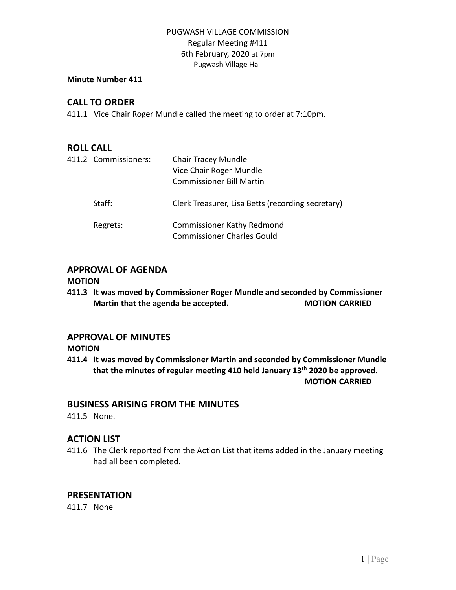## PUGWASH VILLAGE COMMISSION Regular Meeting #411 6th February, 2020 at 7pm Pugwash Village Hall

## **Minute Number 411**

## **CALL TO ORDER**

411.1 Vice Chair Roger Mundle called the meeting to order at 7:10pm.

## **ROLL CALL**

| 411.2 Commissioners: | <b>Chair Tracey Mundle</b><br>Vice Chair Roger Mundle<br><b>Commissioner Bill Martin</b> |
|----------------------|------------------------------------------------------------------------------------------|
| Staff:               | Clerk Treasurer, Lisa Betts (recording secretary)                                        |
| Regrets:             | <b>Commissioner Kathy Redmond</b><br><b>Commissioner Charles Gould</b>                   |

# **APPROVAL OF AGENDA**

#### **MOTION**

**411.3 It was moved by Commissioner Roger Mundle and seconded by Commissioner Martin that the agenda be accepted. MOTION CARRIED**

## **APPROVAL OF MINUTES**

**MOTION**

**411.4 It was moved by Commissioner Martin and seconded by Commissioner Mundle that the minutes of regular meeting 410 held January 13th 2020 be approved. MOTION CARRIED**

## **BUSINESS ARISING FROM THE MINUTES**

411.5 None.

# **ACTION LIST**

411.6 The Clerk reported from the Action List that items added in the January meeting had all been completed.

# **PRESENTATION**

411.7 None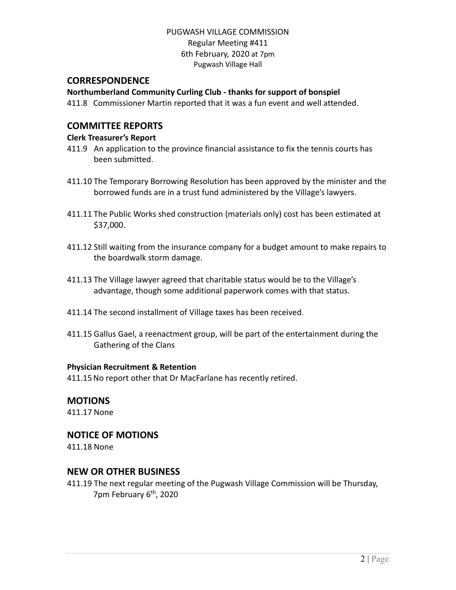#### PUGWASH VILLAGE COMMISSION Regular Meeting #411 6th February, 2020 at 7pm Pugwash Village Hall

#### **CORRESPONDENCE**

#### **Northumberland Community Curling Club - thanks for support of bonspiel**

411.8 Commissioner Martin reported that it was a fun event and well attended.

## **COMMITTEE REPORTS**

#### **Clerk Treasurer's Report**

- 411.9 An application to the province financial assistance to fix the tennis courts has been submitted.
- 411.10 The Temporary Borrowing Resolution has been approved by the minister and the borrowed funds are in a trust fund administered by the Village's lawyers.
- 411.11 The Public Works shed construction (materials only) cost has been estimated at \$37,000.
- 411.12 Still waiting from the insurance company for a budget amount to make repairs to the boardwalk storm damage.
- 411.13 The Village lawyer agreed that charitable status would be to the Village's advantage, though some additional paperwork comes with that status.
- 411.14 The second installment of Village taxes has been received.
- 411.15 Gallus Gael, a reenactment group, will be part of the entertainment during the Gathering of the Clans

#### **Physician Recruitment & Retention**

411.15No report other that Dr MacFarlane has recently retired.

## **MOTIONS**

411.17 None

## **NOTICE OF MOTIONS**

411.18 None

## **NEW OR OTHER BUSINESS**

411.19 The next regular meeting of the Pugwash Village Commission will be Thursday, 7pm February 6<sup>th</sup>, 2020